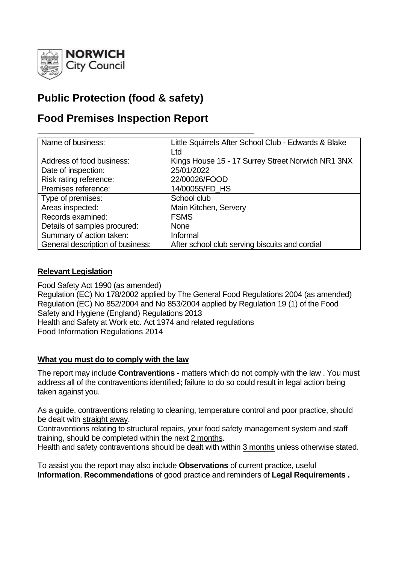

# **Public Protection (food & safety)**

## **Food Premises Inspection Report**

| Name of business:                | Little Squirrels After School Club - Edwards & Blake |
|----------------------------------|------------------------------------------------------|
|                                  |                                                      |
|                                  | Ltd                                                  |
| Address of food business:        | Kings House 15 - 17 Surrey Street Norwich NR1 3NX    |
| Date of inspection:              | 25/01/2022                                           |
| Risk rating reference:           | 22/00026/FOOD                                        |
| Premises reference:              | 14/00055/FD_HS                                       |
| Type of premises:                | School club                                          |
| Areas inspected:                 | Main Kitchen, Servery                                |
| Records examined:                | <b>FSMS</b>                                          |
| Details of samples procured:     | <b>None</b>                                          |
| Summary of action taken:         | Informal                                             |
| General description of business: | After school club serving biscuits and cordial       |

## **Relevant Legislation**

Food Safety Act 1990 (as amended) Regulation (EC) No 178/2002 applied by The General Food Regulations 2004 (as amended) Regulation (EC) No 852/2004 and No 853/2004 applied by Regulation 19 (1) of the Food Safety and Hygiene (England) Regulations 2013 Health and Safety at Work etc. Act 1974 and related regulations Food Information Regulations 2014

## **What you must do to comply with the law**

The report may include **Contraventions** - matters which do not comply with the law . You must address all of the contraventions identified; failure to do so could result in legal action being taken against you.

As a guide, contraventions relating to cleaning, temperature control and poor practice, should be dealt with straight away.

Contraventions relating to structural repairs, your food safety management system and staff training, should be completed within the next 2 months.

Health and safety contraventions should be dealt with within 3 months unless otherwise stated.

To assist you the report may also include **Observations** of current practice, useful **Information**, **Recommendations** of good practice and reminders of **Legal Requirements .**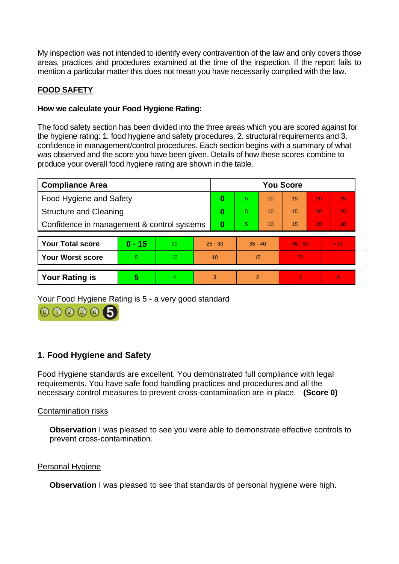My inspection was not intended to identify every contravention of the law and only covers those areas, practices and procedures examined at the time of the inspection. If the report fails to mention a particular matter this does not mean you have necessarily complied with the law.

## **FOOD SAFETY**

## **How we calculate your Food Hygiene Rating:**

The food safety section has been divided into the three areas which you are scored against for the hygiene rating: 1. food hygiene and safety procedures, 2. structural requirements and 3. confidence in management/control procedures. Each section begins with a summary of what was observed and the score you have been given. Details of how these scores combine to produce your overall food hygiene rating are shown in the table.

| <b>Compliance Area</b>                     |          |           | <b>You Score</b> |    |           |    |           |                 |                |  |  |
|--------------------------------------------|----------|-----------|------------------|----|-----------|----|-----------|-----------------|----------------|--|--|
| Food Hygiene and Safety                    |          |           | 0                | 5. | 10        | 15 | 20        | 25              |                |  |  |
| <b>Structure and Cleaning</b>              |          |           | 0                | 5. | 10        | 15 | 20        | 25              |                |  |  |
| Confidence in management & control systems |          |           | 0                | 5. | 10        | 15 | 20        | 30 <sub>1</sub> |                |  |  |
| <b>Your Total score</b>                    | $0 - 15$ | <b>20</b> | $25 - 30$        |    | $35 - 40$ |    | $45 - 50$ |                 | > 50           |  |  |
|                                            |          |           |                  |    |           |    |           |                 |                |  |  |
| <b>Your Worst score</b>                    | 5        | 10        | 10               |    | 15        |    | 20        |                 | $\sim$         |  |  |
|                                            |          |           |                  |    |           |    |           |                 |                |  |  |
| <b>Your Rating is</b>                      | 5        | 4         |                  | 3  | 2         |    |           |                 | $\overline{0}$ |  |  |

Your Food Hygiene Rating is 5 - a very good standard



## **1. Food Hygiene and Safety**

Food Hygiene standards are excellent. You demonstrated full compliance with legal requirements. You have safe food handling practices and procedures and all the necessary control measures to prevent cross-contamination are in place. **(Score 0)**

#### Contamination risks

**Observation** I was pleased to see you were able to demonstrate effective controls to prevent cross-contamination.

#### Personal Hygiene

**Observation** I was pleased to see that standards of personal hygiene were high.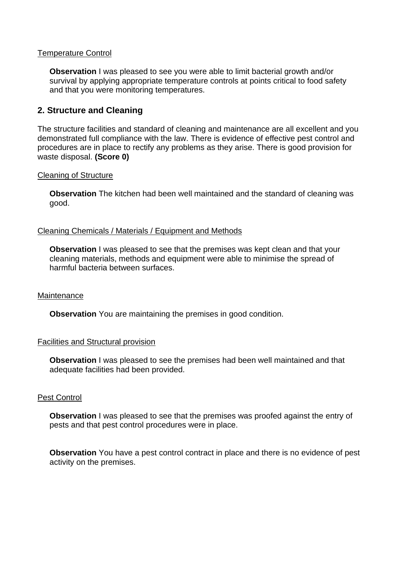#### Temperature Control

**Observation** I was pleased to see you were able to limit bacterial growth and/or survival by applying appropriate temperature controls at points critical to food safety and that you were monitoring temperatures.

## **2. Structure and Cleaning**

The structure facilities and standard of cleaning and maintenance are all excellent and you demonstrated full compliance with the law. There is evidence of effective pest control and procedures are in place to rectify any problems as they arise. There is good provision for waste disposal. **(Score 0)**

#### Cleaning of Structure

**Observation** The kitchen had been well maintained and the standard of cleaning was good.

#### Cleaning Chemicals / Materials / Equipment and Methods

**Observation** I was pleased to see that the premises was kept clean and that your cleaning materials, methods and equipment were able to minimise the spread of harmful bacteria between surfaces.

#### **Maintenance**

**Observation** You are maintaining the premises in good condition.

#### Facilities and Structural provision

**Observation** I was pleased to see the premises had been well maintained and that adequate facilities had been provided.

#### Pest Control

**Observation** I was pleased to see that the premises was proofed against the entry of pests and that pest control procedures were in place.

**Observation** You have a pest control contract in place and there is no evidence of pest activity on the premises.